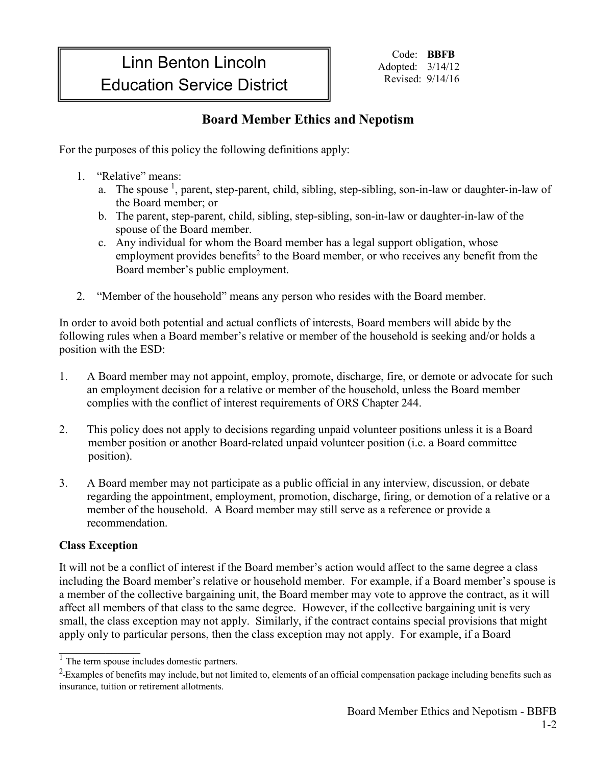## Linn Benton Lincoln Education Service District

Code: **BBFB** Adopted: 3/14/12 Revised: 9/14/16

## **Board Member Ethics and Nepotism**

For the purposes of this policy the following definitions apply:

- 1. "Relative" means:
	- a. The spouse <sup>1</sup>, parent, step-parent, child, sibling, step-sibling, son-in-law or daughter-in-law of the Board member; or
	- b. The parent, step-parent, child, sibling, step-sibling, son-in-law or daughter-in-law of the spouse of the Board member.
	- c. Any individual for whom the Board member has a legal support obligation, whose employment provides benefits<sup>2</sup> to the Board member, or who receives any benefit from the Board member's public employment.
- 2. "Member of the household" means any person who resides with the Board member.

In order to avoid both potential and actual conflicts of interests, Board members will abide by the following rules when a Board member's relative or member of the household is seeking and/or holds a position with the ESD:

- 1. A Board member may not appoint, employ, promote, discharge, fire, or demote or advocate for such an employment decision for a relative or member of the household, unless the Board member complies with the conflict of interest requirements of ORS Chapter 244.
- 2. This policy does not apply to decisions regarding unpaid volunteer positions unless it is a Board member position or another Board-related unpaid volunteer position (i.e. a Board committee position).
- 3. A Board member may not participate as a public official in any interview, discussion, or debate regarding the appointment, employment, promotion, discharge, firing, or demotion of a relative or a member of the household. A Board member may still serve as a reference or provide a recommendation.

## **Class Exception**

 $\mathcal{L}_\text{max}$ 

It will not be a conflict of interest if the Board member's action would affect to the same degree a class including the Board member's relative or household member. For example, if a Board member's spouse is a member of the collective bargaining unit, the Board member may vote to approve the contract, as it will affect all members of that class to the same degree. However, if the collective bargaining unit is very small, the class exception may not apply. Similarly, if the contract contains special provisions that might apply only to particular persons, then the class exception may not apply. For example, if a Board

 $\frac{1}{1}$  The term spouse includes domestic partners.

 $2$ -Examples of benefits may include, but not limited to, elements of an official compensation package including benefits such as insurance, tuition or retirement allotments.